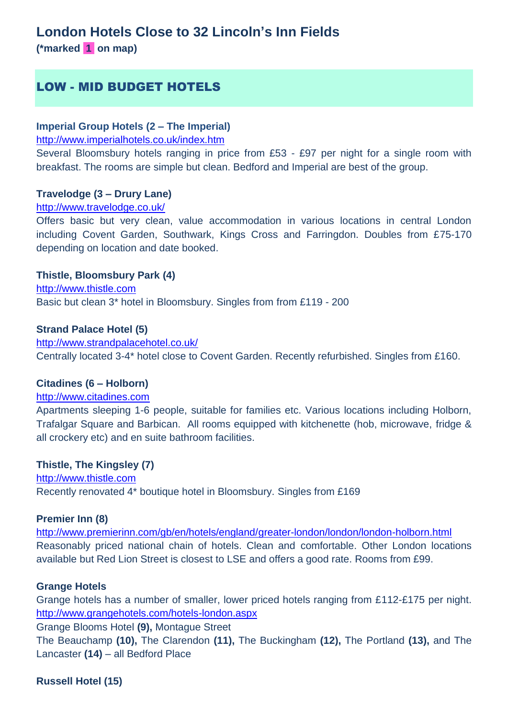## **London Hotels Close to 32 Lincoln's Inn Fields**

**(\*marked 1 on map)**

## LOW - MID BUDGET HOTELS

## **Imperial Group Hotels (2 – The Imperial)**

<http://www.imperialhotels.co.uk/index.htm>

Several Bloomsbury hotels ranging in price from £53 - £97 per night for a single room with breakfast. The rooms are simple but clean. Bedford and Imperial are best of the group.

#### **Travelodge (3 – Drury Lane)**

#### <http://www.travelodge.co.uk/>

Offers basic but very clean, value accommodation in various locations in central London including Covent Garden, Southwark, Kings Cross and Farringdon. Doubles from £75-170 depending on location and date booked.

### **Thistle, Bloomsbury Park (4)**

[http://www.thistle.com](http://www.thistle.com/en/hotels/united_kingdom/london/bloomsbury_park/index.html) Basic but clean 3\* hotel in Bloomsbury. Singles from from £119 - 200

#### **Strand Palace Hotel (5)**

<http://www.strandpalacehotel.co.uk/> Centrally located 3-4\* hotel close to Covent Garden. Recently refurbished. Singles from £160.

#### **Citadines (6 – Holborn)**

#### [http://www.citadines.com](http://www.citadines.net/london.htm)

Apartments sleeping 1-6 people, suitable for families etc. Various locations including Holborn, Trafalgar Square and Barbican. All rooms equipped with kitchenette (hob, microwave, fridge & all crockery etc) and en suite bathroom facilities.

### **Thistle, The Kingsley (7)**

[http://www.thistle.com](http://www.thistle.com/hotels/united_kingdom/london/the_kingsley/index.html) Recently renovated 4\* boutique hotel in Bloomsbury. Singles from £169

#### **Premier Inn (8)**

<http://www.premierinn.com/gb/en/hotels/england/greater-london/london/london-holborn.html> Reasonably priced national chain of hotels. Clean and comfortable. Other London locations available but Red Lion Street is closest to LSE and offers a good rate. Rooms from £99.

#### **Grange Hotels**

Grange hotels has a number of smaller, lower priced hotels ranging from £112-£175 per night. <http://www.grangehotels.com/hotels-london.aspx>

Grange Blooms Hotel **(9),** Montague Street

The Beauchamp **(10),** The Clarendon **(11),** The Buckingham **(12),** The Portland **(13),** and The Lancaster **(14)** – all Bedford Place

**Russell Hotel (15)**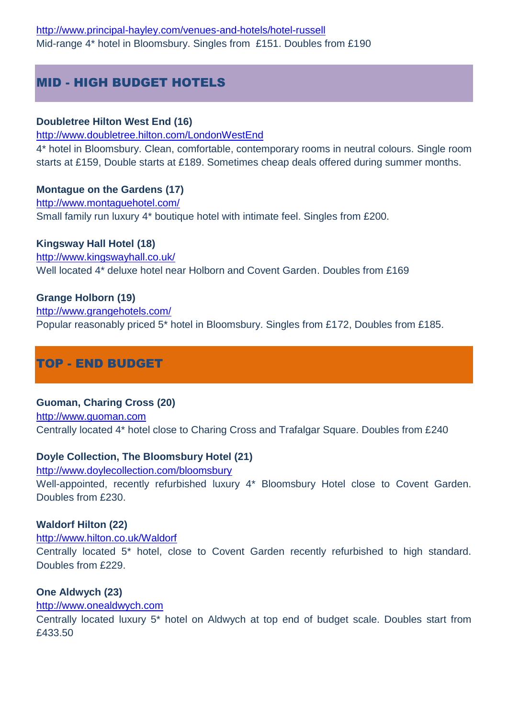## MID - HIGH BUDGET HOTELS

## **Doubletree Hilton West End (16)**

<http://www.doubletree.hilton.com/LondonWestEnd>

4\* hotel in Bloomsbury. Clean, comfortable, contemporary rooms in neutral colours. Single room starts at £159, Double starts at £189. Sometimes cheap deals offered during summer months.

## **Montague on the Gardens (17)**

<http://www.montaguehotel.com/> Small family run luxury 4\* boutique hotel with intimate feel. Singles from £200.

## **Kingsway Hall Hotel (18)**

<http://www.kingswayhall.co.uk/> Well located 4\* deluxe hotel near Holborn and Covent Garden. Doubles from £169

## **Grange Holborn (19)**

[http://www.grangehotels.com/](http://www.grangehotels.com/hotels-london/grange-holborn-hotel/grange-holborn-hotel.aspx) Popular reasonably priced 5\* hotel in Bloomsbury. Singles from £172, Doubles from £185.

# TOP - END BUDGET

## **Guoman, Charing Cross (20)**

[http://www.guoman.com](http://www.guoman.com/en/hotels/united_kingdom/london/charing_cross/index.html) Centrally located 4\* hotel close to Charing Cross and Trafalgar Square. Doubles from £240

## **Doyle Collection, The Bloomsbury Hotel (21)**

<http://www.doylecollection.com/bloomsbury> Well-appointed, recently refurbished luxury 4\* Bloomsbury Hotel close to Covent Garden. Doubles from £230.

## **Waldorf Hilton (22)**

## <http://www.hilton.co.uk/Waldorf>

Centrally located 5\* hotel, close to Covent Garden recently refurbished to high standard. Doubles from £229.

## **One Aldwych (23)**

## [http://www.onealdwych.com](http://www.onealdwych.com/)

Centrally located luxury 5\* hotel on Aldwych at top end of budget scale. Doubles start from £433.50